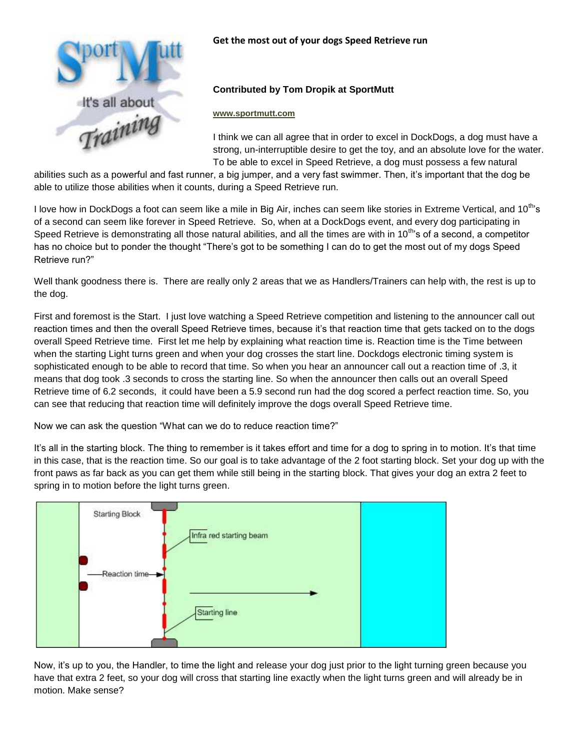

## **Get the most out of your dogs Speed Retrieve run**

## **Contributed by Tom Dropik at SportMutt**

## **[www.sportmutt.com](http://www.sportmutt.com/)**

I think we can all agree that in order to excel in DockDogs, a dog must have a strong, un-interruptible desire to get the toy, and an absolute love for the water. To be able to excel in Speed Retrieve, a dog must possess a few natural

abilities such as a powerful and fast runner, a big jumper, and a very fast swimmer. Then, it's important that the dog be able to utilize those abilities when it counts, during a Speed Retrieve run.

I love how in DockDogs a foot can seem like a mile in Big Air, inches can seem like stories in Extreme Vertical, and 10<sup>th</sup>'s of a second can seem like forever in Speed Retrieve. So, when at a DockDogs event, and every dog participating in Speed Retrieve is demonstrating all those natural abilities, and all the times are with in 10<sup>th</sup>'s of a second, a competitor has no choice but to ponder the thought "There's got to be something I can do to get the most out of my dogs Speed Retrieve run?"

Well thank goodness there is. There are really only 2 areas that we as Handlers/Trainers can help with, the rest is up to the dog.

First and foremost is the Start. I just love watching a Speed Retrieve competition and listening to the announcer call out reaction times and then the overall Speed Retrieve times, because it's that reaction time that gets tacked on to the dogs overall Speed Retrieve time. First let me help by explaining what reaction time is. Reaction time is the Time between when the starting Light turns green and when your dog crosses the start line. Dockdogs electronic timing system is sophisticated enough to be able to record that time. So when you hear an announcer call out a reaction time of .3, it means that dog took .3 seconds to cross the starting line. So when the announcer then calls out an overall Speed Retrieve time of 6.2 seconds, it could have been a 5.9 second run had the dog scored a perfect reaction time. So, you can see that reducing that reaction time will definitely improve the dogs overall Speed Retrieve time.

Now we can ask the question "What can we do to reduce reaction time?"

It's all in the starting block. The thing to remember is it takes effort and time for a dog to spring in to motion. It's that time in this case, that is the reaction time. So our goal is to take advantage of the 2 foot starting block. Set your dog up with the front paws as far back as you can get them while still being in the starting block. That gives your dog an extra 2 feet to spring in to motion before the light turns green.



Now, it's up to you, the Handler, to time the light and release your dog just prior to the light turning green because you have that extra 2 feet, so your dog will cross that starting line exactly when the light turns green and will already be in motion. Make sense?